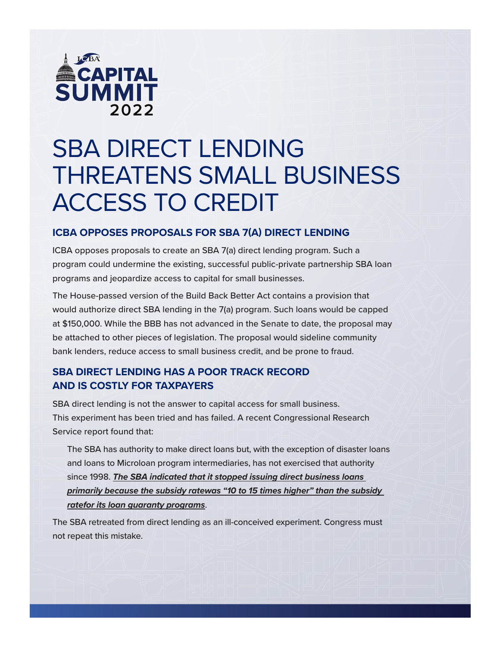

# SBA DIRECT LENDING THREATENS SMALL BUSINESS ACCESS TO CREDIT

### **ICBA OPPOSES PROPOSALS FOR SBA 7(A) DIRECT LENDING**

ICBA opposes proposals to create an SBA 7(a) direct lending program. Such a program could undermine the existing, successful public-private partnership SBA loan programs and jeopardize access to capital for small businesses.

The House-passed version of the Build Back Better Act contains a provision that would authorize direct SBA lending in the 7(a) program. Such loans would be capped at \$150,000. While the BBB has not advanced in the Senate to date, the proposal may be attached to other pieces of legislation. The proposal would sideline community bank lenders, reduce access to small business credit, and be prone to fraud.

# **SBA DIRECT LENDING HAS A POOR TRACK RECORD AND IS COSTLY FOR TAXPAYERS**

SBA direct lending is not the answer to capital access for small business. This experiment has been tried and has failed. A recent Congressional Research Service report found that:

The SBA has authority to make direct loans but, with the exception of disaster loans and loans to Microloan program intermediaries, has not exercised that authority since 1998. *The SBA indicated that it stopped issuing direct business loans primarily because the subsidy ratewas "10 to 15 times higher" than the subsidy ratefor its loan guaranty programs*.

The SBA retreated from direct lending as an ill-conceived experiment. Congress must not repeat this mistake.